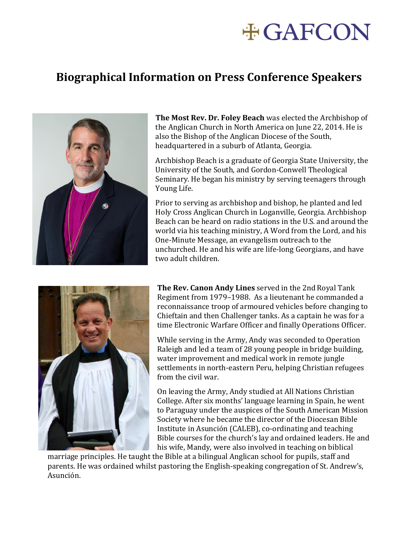## **#GAFCON**

## **Biographical Information on Press Conference Speakers**



**The Most Rev. Dr. Foley Beach** was elected the Archbishop of the Anglican Church in North America on June 22, 2014. He is also the Bishop of the Anglican Diocese of the South, headquartered in a suburb of Atlanta, Georgia.

Archbishop Beach is a graduate of Georgia State University, the University of the South, and Gordon-Conwell Theological Seminary. He began his ministry by serving teenagers through Young Life.

Prior to serving as archbishop and bishop, he planted and led Holy Cross Anglican Church in Loganville, Georgia. Archbishop Beach can be heard on radio stations in the U.S. and around the world via his teaching ministry, A Word from the Lord, and his One-Minute Message, an evangelism outreach to the unchurched. He and his wife are life-long Georgians, and have two adult children.



**The Rev. Canon Andy Lines** served in the 2nd Royal Tank Regiment from 1979–1988. As a lieutenant he commanded a reconnaissance troop of armoured vehicles before changing to Chieftain and then Challenger tanks. As a captain he was for a time Electronic Warfare Officer and finally Operations Officer.

While serving in the Army, Andy was seconded to Operation Raleigh and led a team of 28 young people in bridge building, water improvement and medical work in remote jungle settlements in north-eastern Peru, helping Christian refugees from the civil war.

On leaving the Army, Andy studied at All Nations Christian College. After six months' language learning in Spain, he went to Paraguay under the auspices of the South American Mission Society where he became the director of the Diocesan Bible Institute in Asunción (CALEB), co-ordinating and teaching Bible courses for the church's lay and ordained leaders. He and his wife, Mandy, were also involved in teaching on biblical

marriage principles. He taught the Bible at a bilingual Anglican school for pupils, staff and parents. He was ordained whilst pastoring the English-speaking congregation of St. Andrew's, Asunción.